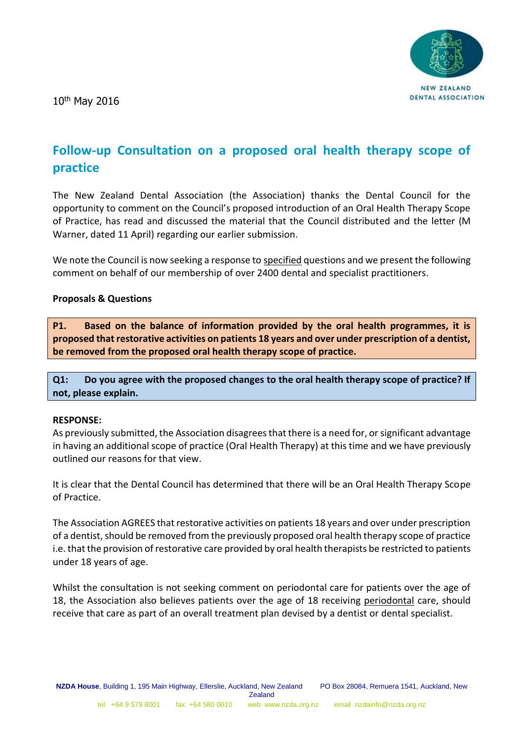10th May 2016



# **Follow-up Consultation on a proposed oral health therapy scope of practice**

The New Zealand Dental Association (the Association) thanks the Dental Council for the opportunity to comment on the Council's proposed introduction of an Oral Health Therapy Scope of Practice, has read and discussed the material that the Council distributed and the letter (M Warner, dated 11 April) regarding our earlier submission.

We note the Council is now seeking a response to specified questions and we present the following comment on behalf of our membership of over 2400 dental and specialist practitioners.

## **Proposals & Questions**

**P1. Based on the balance of information provided by the oral health programmes, it is proposed that restorative activities on patients 18 years and over under prescription of a dentist, be removed from the proposed oral health therapy scope of practice.**

**Q1: Do you agree with the proposed changes to the oral health therapy scope of practice? If not, please explain.**

#### **RESPONSE:**

As previously submitted, the Association disagrees that there is a need for, or significant advantage in having an additional scope of practice (Oral Health Therapy) at this time and we have previously outlined our reasons for that view.

It is clear that the Dental Council has determined that there will be an Oral Health Therapy Scope of Practice.

The Association AGREES that restorative activities on patients 18 years and over under prescription of a dentist, should be removed from the previously proposed oral health therapy scope of practice i.e. that the provision of restorative care provided by oral health therapists be restricted to patients under 18 years of age.

Whilst the consultation is not seeking comment on periodontal care for patients over the age of 18, the Association also believes patients over the age of 18 receiving periodontal care, should receive that care as part of an overall treatment plan devised by a dentist or dental specialist.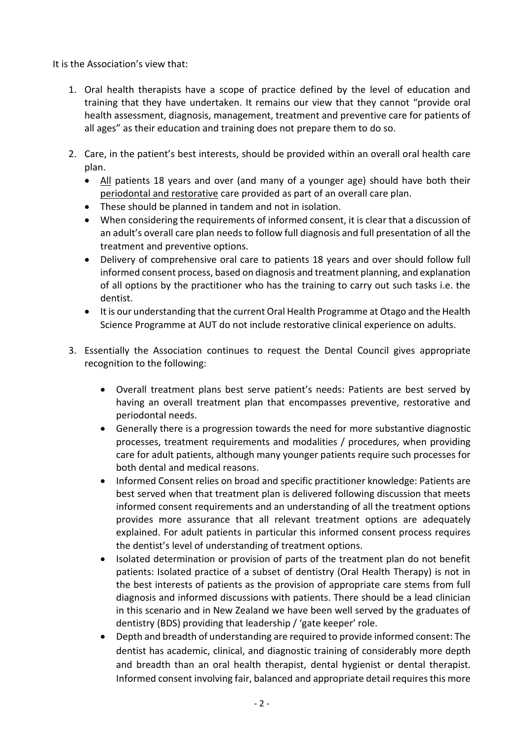It is the Association's view that:

- 1. Oral health therapists have a scope of practice defined by the level of education and training that they have undertaken. It remains our view that they cannot "provide oral health assessment, diagnosis, management, treatment and preventive care for patients of all ages" as their education and training does not prepare them to do so.
- 2. Care, in the patient's best interests, should be provided within an overall oral health care plan.
	- All patients 18 years and over (and many of a younger age) should have both their periodontal and restorative care provided as part of an overall care plan.
	- These should be planned in tandem and not in isolation.
	- When considering the requirements of informed consent, it is clear that a discussion of an adult's overall care plan needs to follow full diagnosis and full presentation of all the treatment and preventive options.
	- Delivery of comprehensive oral care to patients 18 years and over should follow full informed consent process, based on diagnosis and treatment planning, and explanation of all options by the practitioner who has the training to carry out such tasks i.e. the dentist.
	- It is our understanding that the current Oral Health Programme at Otago and the Health Science Programme at AUT do not include restorative clinical experience on adults.
- 3. Essentially the Association continues to request the Dental Council gives appropriate recognition to the following:
	- Overall treatment plans best serve patient's needs: Patients are best served by having an overall treatment plan that encompasses preventive, restorative and periodontal needs.
	- Generally there is a progression towards the need for more substantive diagnostic processes, treatment requirements and modalities / procedures, when providing care for adult patients, although many younger patients require such processes for both dental and medical reasons.
	- Informed Consent relies on broad and specific practitioner knowledge: Patients are best served when that treatment plan is delivered following discussion that meets informed consent requirements and an understanding of all the treatment options provides more assurance that all relevant treatment options are adequately explained. For adult patients in particular this informed consent process requires the dentist's level of understanding of treatment options.
	- Isolated determination or provision of parts of the treatment plan do not benefit patients: Isolated practice of a subset of dentistry (Oral Health Therapy) is not in the best interests of patients as the provision of appropriate care stems from full diagnosis and informed discussions with patients. There should be a lead clinician in this scenario and in New Zealand we have been well served by the graduates of dentistry (BDS) providing that leadership / 'gate keeper' role.
	- Depth and breadth of understanding are required to provide informed consent: The dentist has academic, clinical, and diagnostic training of considerably more depth and breadth than an oral health therapist, dental hygienist or dental therapist. Informed consent involving fair, balanced and appropriate detail requires this more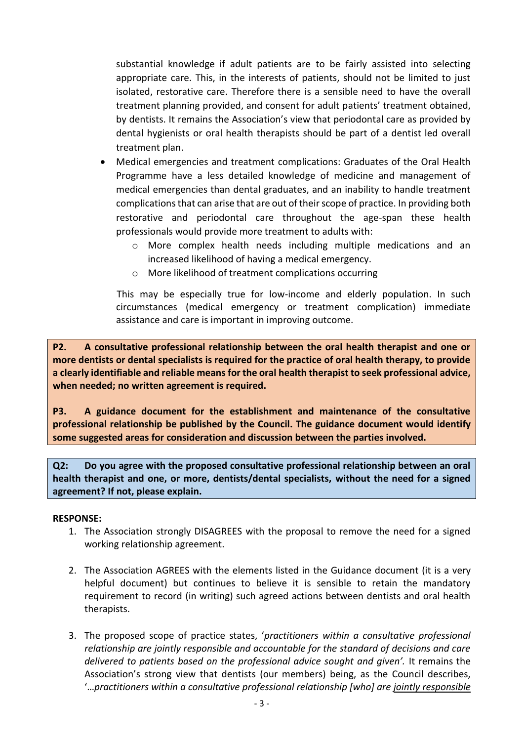substantial knowledge if adult patients are to be fairly assisted into selecting appropriate care. This, in the interests of patients, should not be limited to just isolated, restorative care. Therefore there is a sensible need to have the overall treatment planning provided, and consent for adult patients' treatment obtained, by dentists. It remains the Association's view that periodontal care as provided by dental hygienists or oral health therapists should be part of a dentist led overall treatment plan.

- Medical emergencies and treatment complications: Graduates of the Oral Health Programme have a less detailed knowledge of medicine and management of medical emergencies than dental graduates, and an inability to handle treatment complications that can arise that are out of their scope of practice. In providing both restorative and periodontal care throughout the age-span these health professionals would provide more treatment to adults with:
	- o More complex health needs including multiple medications and an increased likelihood of having a medical emergency.
	- o More likelihood of treatment complications occurring

This may be especially true for low-income and elderly population. In such circumstances (medical emergency or treatment complication) immediate assistance and care is important in improving outcome.

**P2. A consultative professional relationship between the oral health therapist and one or more dentists or dental specialists is required for the practice of oral health therapy, to provide a clearly identifiable and reliable means for the oral health therapist to seek professional advice, when needed; no written agreement is required.**

**P3. A guidance document for the establishment and maintenance of the consultative professional relationship be published by the Council. The guidance document would identify some suggested areas for consideration and discussion between the parties involved.**

**Q2: Do you agree with the proposed consultative professional relationship between an oral health therapist and one, or more, dentists/dental specialists, without the need for a signed agreement? If not, please explain.**

## **RESPONSE:**

- 1. The Association strongly DISAGREES with the proposal to remove the need for a signed working relationship agreement.
- 2. The Association AGREES with the elements listed in the Guidance document (it is a very helpful document) but continues to believe it is sensible to retain the mandatory requirement to record (in writing) such agreed actions between dentists and oral health therapists.
- 3. The proposed scope of practice states, '*practitioners within a consultative professional relationship are jointly responsible and accountable for the standard of decisions and care delivered to patients based on the professional advice sought and given'.* It remains the Association's strong view that dentists (our members) being, as the Council describes, '…*practitioners within a consultative professional relationship [who] are jointly responsible*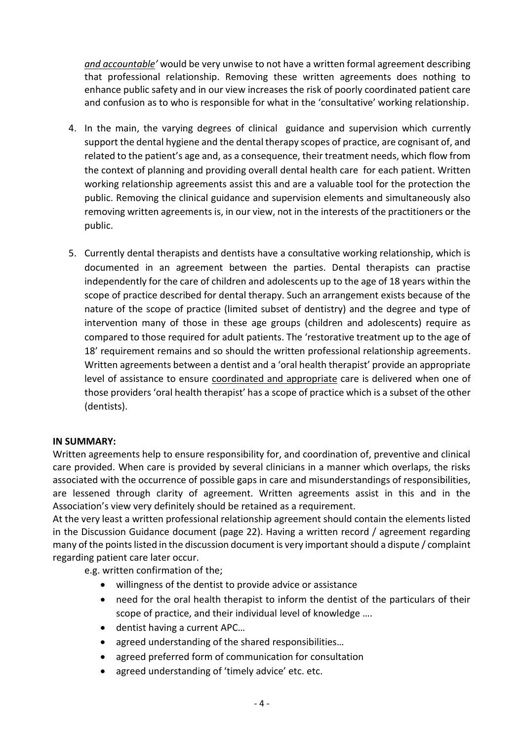*and accountable'* would be very unwise to not have a written formal agreement describing that professional relationship. Removing these written agreements does nothing to enhance public safety and in our view increases the risk of poorly coordinated patient care and confusion as to who is responsible for what in the 'consultative' working relationship.

- 4. In the main, the varying degrees of clinical guidance and supervision which currently support the dental hygiene and the dental therapy scopes of practice, are cognisant of, and related to the patient's age and, as a consequence, their treatment needs, which flow from the context of planning and providing overall dental health care for each patient. Written working relationship agreements assist this and are a valuable tool for the protection the public. Removing the clinical guidance and supervision elements and simultaneously also removing written agreements is, in our view, not in the interests of the practitioners or the public.
- 5. Currently dental therapists and dentists have a consultative working relationship, which is documented in an agreement between the parties. Dental therapists can practise independently for the care of children and adolescents up to the age of 18 years within the scope of practice described for dental therapy. Such an arrangement exists because of the nature of the scope of practice (limited subset of dentistry) and the degree and type of intervention many of those in these age groups (children and adolescents) require as compared to those required for adult patients. The 'restorative treatment up to the age of 18' requirement remains and so should the written professional relationship agreements. Written agreements between a dentist and a 'oral health therapist' provide an appropriate level of assistance to ensure coordinated and appropriate care is delivered when one of those providers 'oral health therapist' has a scope of practice which is a subset of the other (dentists).

# **IN SUMMARY:**

Written agreements help to ensure responsibility for, and coordination of, preventive and clinical care provided. When care is provided by several clinicians in a manner which overlaps, the risks associated with the occurrence of possible gaps in care and misunderstandings of responsibilities, are lessened through clarity of agreement. Written agreements assist in this and in the Association's view very definitely should be retained as a requirement.

At the very least a written professional relationship agreement should contain the elements listed in the Discussion Guidance document (page 22). Having a written record / agreement regarding many of the points listed in the discussion document is very important should a dispute / complaint regarding patient care later occur.

e.g. written confirmation of the;

- willingness of the dentist to provide advice or assistance
- need for the oral health therapist to inform the dentist of the particulars of their scope of practice, and their individual level of knowledge ….
- dentist having a current APC...
- agreed understanding of the shared responsibilities...
- agreed preferred form of communication for consultation
- agreed understanding of 'timely advice' etc. etc.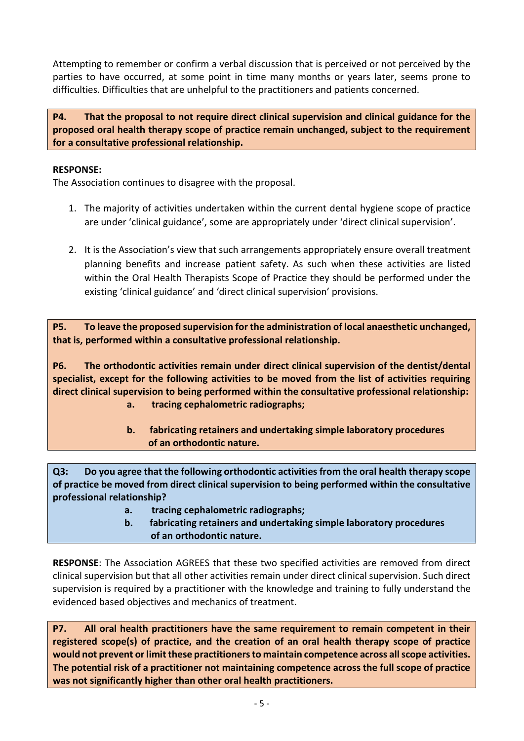Attempting to remember or confirm a verbal discussion that is perceived or not perceived by the parties to have occurred, at some point in time many months or years later, seems prone to difficulties. Difficulties that are unhelpful to the practitioners and patients concerned.

**P4. That the proposal to not require direct clinical supervision and clinical guidance for the proposed oral health therapy scope of practice remain unchanged, subject to the requirement for a consultative professional relationship.**

# **RESPONSE:**

The Association continues to disagree with the proposal.

- 1. The majority of activities undertaken within the current dental hygiene scope of practice are under 'clinical guidance', some are appropriately under 'direct clinical supervision'.
- 2. It is the Association's view that such arrangements appropriately ensure overall treatment planning benefits and increase patient safety. As such when these activities are listed within the Oral Health Therapists Scope of Practice they should be performed under the existing 'clinical guidance' and 'direct clinical supervision' provisions.

**P5. To leave the proposed supervision for the administration of local anaesthetic unchanged, that is, performed within a consultative professional relationship.**

**P6. The orthodontic activities remain under direct clinical supervision of the dentist/dental specialist, except for the following activities to be moved from the list of activities requiring direct clinical supervision to being performed within the consultative professional relationship:**

- **a. tracing cephalometric radiographs;**
- **b. fabricating retainers and undertaking simple laboratory procedures of an orthodontic nature.**

**Q3: Do you agree that the following orthodontic activities from the oral health therapy scope of practice be moved from direct clinical supervision to being performed within the consultative professional relationship?**

- **a. tracing cephalometric radiographs;**
- **b. fabricating retainers and undertaking simple laboratory procedures of an orthodontic nature.**

**RESPONSE**: The Association AGREES that these two specified activities are removed from direct clinical supervision but that all other activities remain under direct clinical supervision. Such direct supervision is required by a practitioner with the knowledge and training to fully understand the evidenced based objectives and mechanics of treatment.

**P7. All oral health practitioners have the same requirement to remain competent in their registered scope(s) of practice, and the creation of an oral health therapy scope of practice would not prevent or limit these practitioners to maintain competence across all scope activities. The potential risk of a practitioner not maintaining competence across the full scope of practice was not significantly higher than other oral health practitioners.**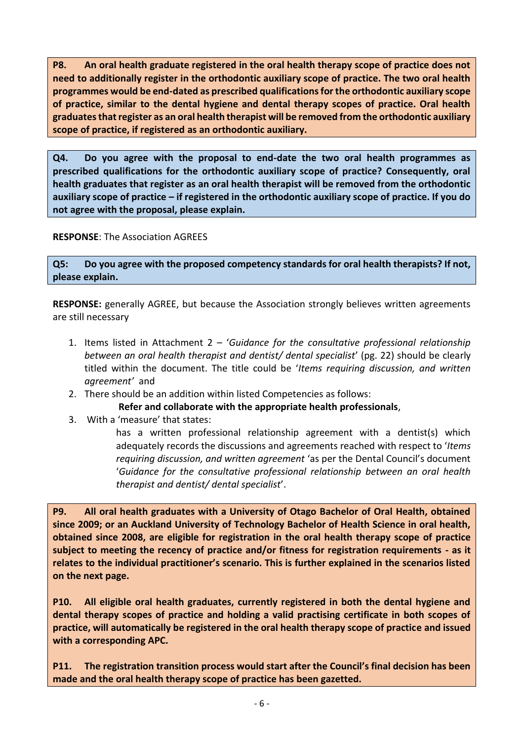**P8. An oral health graduate registered in the oral health therapy scope of practice does not need to additionally register in the orthodontic auxiliary scope of practice. The two oral health programmes would be end-dated as prescribed qualifications for the orthodontic auxiliary scope of practice, similar to the dental hygiene and dental therapy scopes of practice. Oral health graduates that register as an oral health therapist will be removed from the orthodontic auxiliary scope of practice, if registered as an orthodontic auxiliary.**

**Q4. Do you agree with the proposal to end-date the two oral health programmes as prescribed qualifications for the orthodontic auxiliary scope of practice? Consequently, oral health graduates that register as an oral health therapist will be removed from the orthodontic auxiliary scope of practice – if registered in the orthodontic auxiliary scope of practice. If you do not agree with the proposal, please explain.**

**RESPONSE**: The Association AGREES

**Q5: Do you agree with the proposed competency standards for oral health therapists? If not, please explain.**

**RESPONSE:** generally AGREE, but because the Association strongly believes written agreements are still necessary

- 1. Items listed in Attachment 2 '*Guidance for the consultative professional relationship between an oral health therapist and dentist/ dental specialist*' (pg. 22) should be clearly titled within the document. The title could be '*Items requiring discussion, and written agreement'* and
- 2. There should be an addition within listed Competencies as follows:

**Refer and collaborate with the appropriate health professionals**,

3. With a 'measure' that states:

has a written professional relationship agreement with a dentist(s) which adequately records the discussions and agreements reached with respect to '*Items requiring discussion, and written agreement* 'as per the Dental Council's document '*Guidance for the consultative professional relationship between an oral health therapist and dentist/ dental specialist*'.

**P9. All oral health graduates with a University of Otago Bachelor of Oral Health, obtained since 2009; or an Auckland University of Technology Bachelor of Health Science in oral health, obtained since 2008, are eligible for registration in the oral health therapy scope of practice subject to meeting the recency of practice and/or fitness for registration requirements - as it relates to the individual practitioner's scenario. This is further explained in the scenarios listed on the next page.**

**P10. All eligible oral health graduates, currently registered in both the dental hygiene and dental therapy scopes of practice and holding a valid practising certificate in both scopes of practice, will automatically be registered in the oral health therapy scope of practice and issued with a corresponding APC.**

**P11. The registration transition process would start after the Council's final decision has been made and the oral health therapy scope of practice has been gazetted.**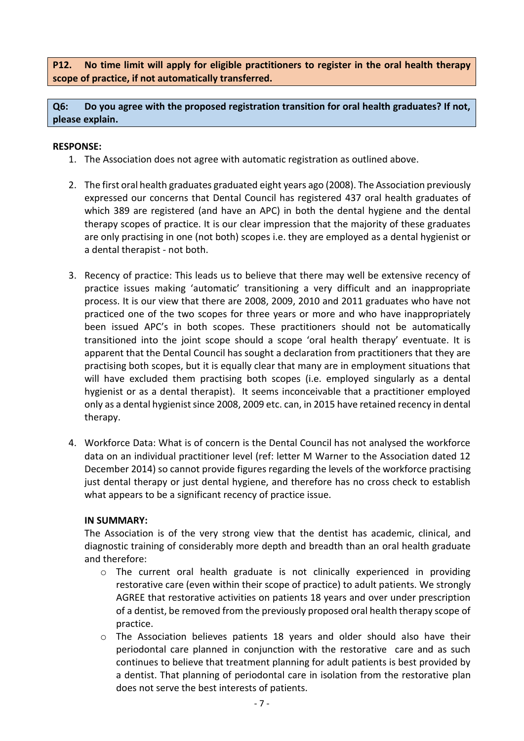**P12. No time limit will apply for eligible practitioners to register in the oral health therapy scope of practice, if not automatically transferred.**

**Q6: Do you agree with the proposed registration transition for oral health graduates? If not, please explain.**

# **RESPONSE:**

- 1. The Association does not agree with automatic registration as outlined above.
- 2. The first oral health graduates graduated eight years ago (2008). The Association previously expressed our concerns that Dental Council has registered 437 oral health graduates of which 389 are registered (and have an APC) in both the dental hygiene and the dental therapy scopes of practice. It is our clear impression that the majority of these graduates are only practising in one (not both) scopes i.e. they are employed as a dental hygienist or a dental therapist - not both.
- 3. Recency of practice: This leads us to believe that there may well be extensive recency of practice issues making 'automatic' transitioning a very difficult and an inappropriate process. It is our view that there are 2008, 2009, 2010 and 2011 graduates who have not practiced one of the two scopes for three years or more and who have inappropriately been issued APC's in both scopes. These practitioners should not be automatically transitioned into the joint scope should a scope 'oral health therapy' eventuate. It is apparent that the Dental Council has sought a declaration from practitioners that they are practising both scopes, but it is equally clear that many are in employment situations that will have excluded them practising both scopes (i.e. employed singularly as a dental hygienist or as a dental therapist). It seems inconceivable that a practitioner employed only as a dental hygienist since 2008, 2009 etc. can, in 2015 have retained recency in dental therapy.
- 4. Workforce Data: What is of concern is the Dental Council has not analysed the workforce data on an individual practitioner level (ref: letter M Warner to the Association dated 12 December 2014) so cannot provide figures regarding the levels of the workforce practising just dental therapy or just dental hygiene, and therefore has no cross check to establish what appears to be a significant recency of practice issue.

## **IN SUMMARY:**

The Association is of the very strong view that the dentist has academic, clinical, and diagnostic training of considerably more depth and breadth than an oral health graduate and therefore:

- o The current oral health graduate is not clinically experienced in providing restorative care (even within their scope of practice) to adult patients. We strongly AGREE that restorative activities on patients 18 years and over under prescription of a dentist, be removed from the previously proposed oral health therapy scope of practice.
- $\circ$  The Association believes patients 18 years and older should also have their periodontal care planned in conjunction with the restorative care and as such continues to believe that treatment planning for adult patients is best provided by a dentist. That planning of periodontal care in isolation from the restorative plan does not serve the best interests of patients.